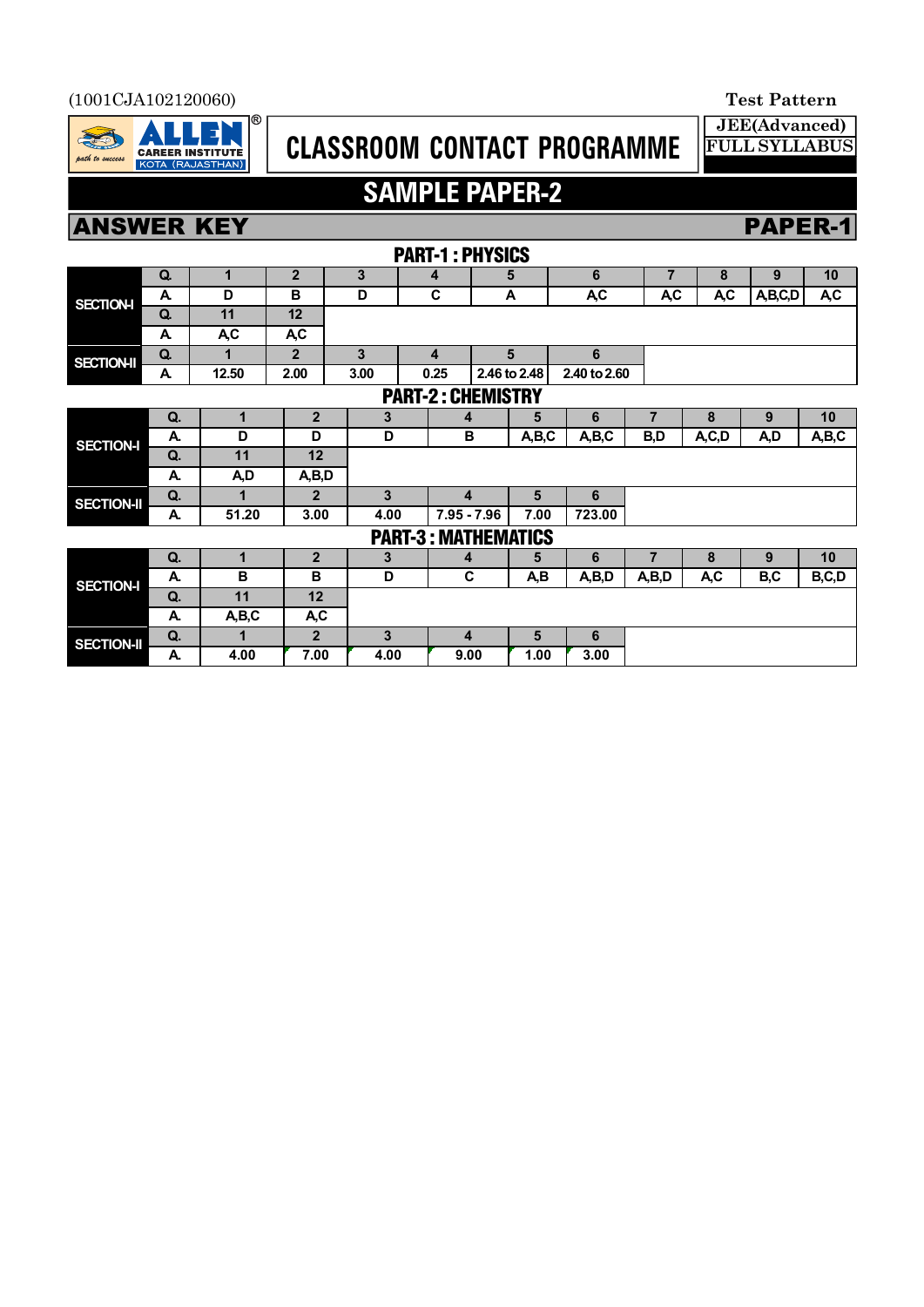#### (1001CJA102120060) **Test Pattern**



# **CLASSROOM CONTACT PROGRAMME**

**JEE(Advanced) FULL SYLLABUS**

# **SAMPLE PAPER-2**

# **ANSWER KEY PAPER-1**

|                            | PAKI-I : PHTSIUS         |       |                |      |                       |      |              |                  |                |           |         |                  |  |  |
|----------------------------|--------------------------|-------|----------------|------|-----------------------|------|--------------|------------------|----------------|-----------|---------|------------------|--|--|
|                            | Q.                       | 1     | $\overline{2}$ | 3    | 4                     |      | 5            | 6                | $\overline{7}$ | 8         | 9       | 10               |  |  |
| <b>SECTION-I</b>           | A                        | D     | B              | D    | C                     |      | A            | A <sub>,</sub> C | <b>A,C</b>     | <b>AC</b> | A,B,C,D | A <sub>,</sub> C |  |  |
|                            | Q.                       | 11    | 12             |      |                       |      |              |                  |                |           |         |                  |  |  |
|                            | A                        | A,C   | <b>AC</b>      |      |                       |      |              |                  |                |           |         |                  |  |  |
| <b>SECTION-II</b>          | Q.                       | 1     | $\overline{2}$ | 3    | 4                     |      | 5            | 6                |                |           |         |                  |  |  |
|                            | A                        | 12.50 | 2.00           | 3.00 | 0.25                  |      | 2.46 to 2.48 | 2.40 to 2.60     |                |           |         |                  |  |  |
|                            | <b>PART-2: CHEMISTRY</b> |       |                |      |                       |      |              |                  |                |           |         |                  |  |  |
| <b>SECTION-I</b>           | Q.                       | 1     | $\overline{2}$ | 3    |                       | 4    | 5            | 6                | $\overline{7}$ | 8         | 9       | 10               |  |  |
|                            | А.                       | D     | D              | D    |                       | B    | A,B,C        | A,B,C            | B,D            | A, C, D   | A,D     | A,B,C            |  |  |
|                            | Q.                       | 11    | 12             |      |                       |      |              |                  |                |           |         |                  |  |  |
|                            | А.                       | A,D   | A,B,D          |      |                       |      |              |                  |                |           |         |                  |  |  |
| <b>SECTION-II</b>          | Q.                       | 1     | $\overline{2}$ | 3    |                       |      | 5            | 6                |                |           |         |                  |  |  |
|                            | А.                       | 51.20 | 3.00           |      | $7.95 - 7.96$<br>4.00 |      | 7.00         | 723.00           |                |           |         |                  |  |  |
| <b>PART-3: MATHEMATICS</b> |                          |       |                |      |                       |      |              |                  |                |           |         |                  |  |  |
| <b>SECTION-I</b>           | Q.                       | 1     | $\overline{2}$ | 3    |                       | 4    | 5            | 6                | 7              | 8         | 9       | 10               |  |  |
|                            | А.                       | B     | B              | D    |                       | C    | A,B          | A,B,D            | A,B,D          | A,C       | B,C     | B,C,D            |  |  |
|                            | Q.                       | 11    | 12             |      |                       |      |              |                  |                |           |         |                  |  |  |
|                            | А.                       | A,B,C | A,C            |      |                       |      |              |                  |                |           |         |                  |  |  |
| <b>SECTION-II</b>          | Q.                       | 1     | $\overline{2}$ | 3    |                       | 4    | 5            | 6                |                |           |         |                  |  |  |
|                            | А.                       | 4.00  | 7.00           | 4.00 |                       | 9.00 | 1.00         | 3.00             |                |           |         |                  |  |  |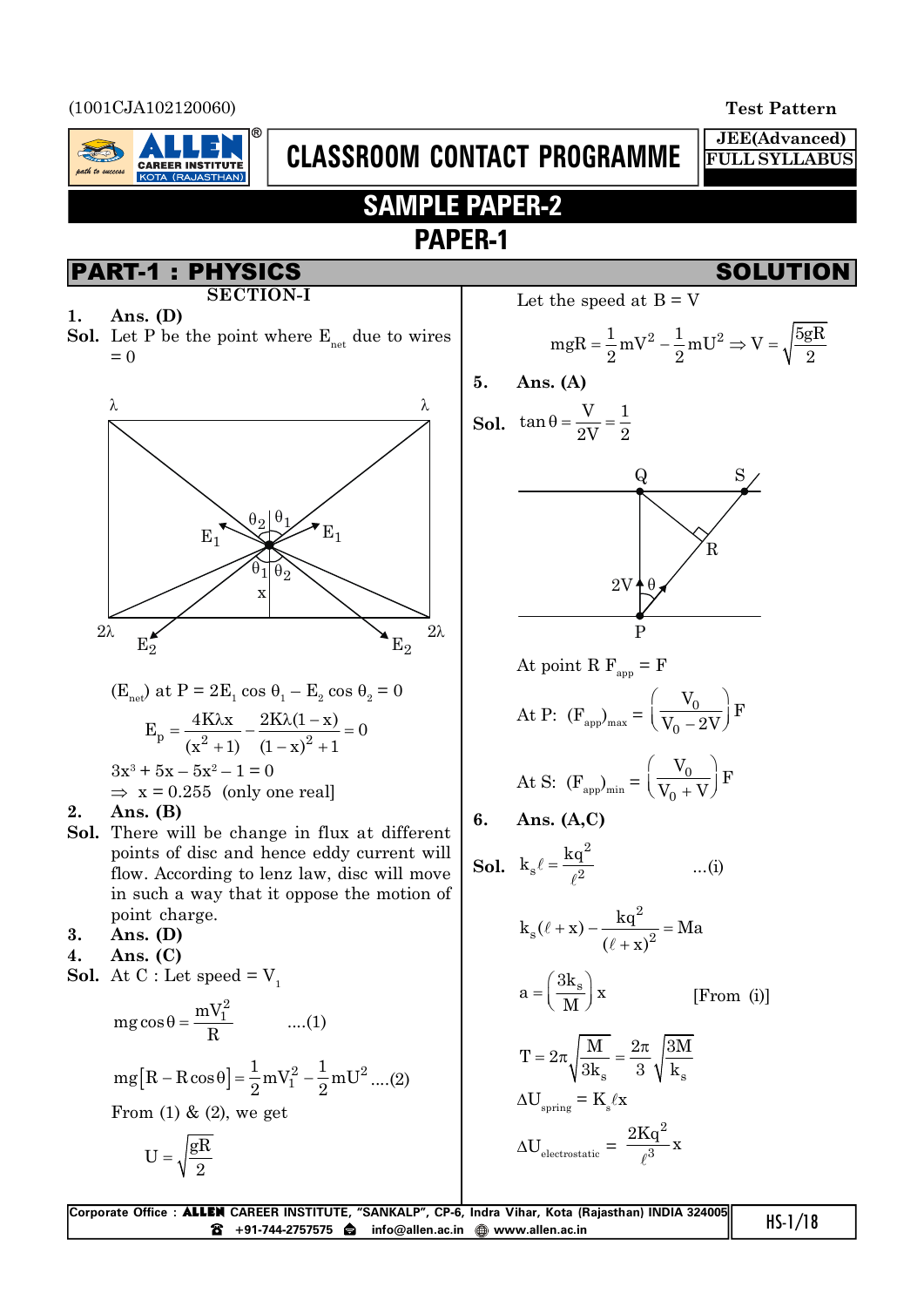(1001CJA102120060) **Test Pattern**

rath to success

**JEE(Advanced) FULL SYLLABUS**

# **SAMPLE PAPER-2 PAPER-1**

**CLASSROOM CONTACT PROGRAMME**

**CAREER INSTITUTI** 

KOTA (RAJASTHAN)

- **SECTION-I**
- **1. Ans. (D)**
- **Sol.** Let P be the point where  $E_{net}$  due to wires  $= 0$



$$
(E_{net}) at P = 2E_1 \cos \theta_1 - E_2 \cos \theta_2 = 0
$$
  
\n
$$
E_p = \frac{4K\lambda x}{(x^2 + 1)} - \frac{2K\lambda(1 - x)}{(1 - x)^2 + 1} = 0
$$
  
\n
$$
3x^3 + 5x - 5x^2 - 1 = 0
$$
  
\n
$$
\Rightarrow x = 0.255 \text{ (only one real)}
$$

#### **2. Ans. (B)**

- **Sol.** There will be change in flux at different points of disc and hence eddy current will flow. According to lenz law, disc will move in such a way that it oppose the motion of point charge.
- **3. Ans. (D)**
- **4. Ans. (C)**
- **Sol.** At C : Let speed  $= V_1$

2

mg cos θ = 
$$
\frac{mV_1^2}{R}
$$
 ....(1)  
\nmg [R – R cos θ] =  $\frac{1}{2}$  mV<sub>1</sub><sup>2</sup> –  $\frac{1}{2}$  mU<sup>2</sup> ....(2)  
\nFrom (1) & (2), we get  
\n
$$
U = \sqrt{\frac{gR}{r}}
$$

PART-1 : PHYSICS SOLUTION Let the speed at B = V

$$
mgR = \frac{1}{2}mV^2 - \frac{1}{2}mU^2 \Rightarrow V = \sqrt{\frac{5gR}{2}}
$$

$$
5. \quad \text{Ans. (A)}
$$

**Sol.** 
$$
\tan \theta = \frac{V}{2V} = \frac{1}{2}
$$



At point R F<sub>app</sub> = F  

$$
\left(\begin{array}{c} V_0 \end{array}\right)
$$

At P: 
$$
(F_{app})_{max} = \left(\frac{v_0}{V_0 - 2V}\right) F
$$

At S: 
$$
(F_{app})_{min} = \left(\frac{V_0}{V_0 + V}\right) F
$$

$$
6. \quad \text{Ans. (A,C)}
$$

**Sol.** 
$$
k_s \ell = \frac{kq^2}{\ell^2}
$$

$$
k_s(\ell + x) - \frac{kq^2}{(\ell + x)^2} = Ma
$$

$$
a = \left(\frac{3k_s}{M}\right)x
$$
 [From (i)]

...(i)

$$
T = 2\pi \sqrt{\frac{M}{3k_s}} = \frac{2\pi}{3} \sqrt{\frac{3M}{k_s}}
$$

$$
\Delta U_{spring} = K_s / x
$$

$$
\Delta U_{electrostatic} = \frac{2Kq^2}{\ell^3} x
$$

| Corporate Office: <b>ALLEN</b> CAREER INSTITUTE, "SANKALP", CP-6, Indra Vihar, Kota (Rajasthan) INDIA 324005 | $HS-1/18$ |
|--------------------------------------------------------------------------------------------------------------|-----------|
|                                                                                                              |           |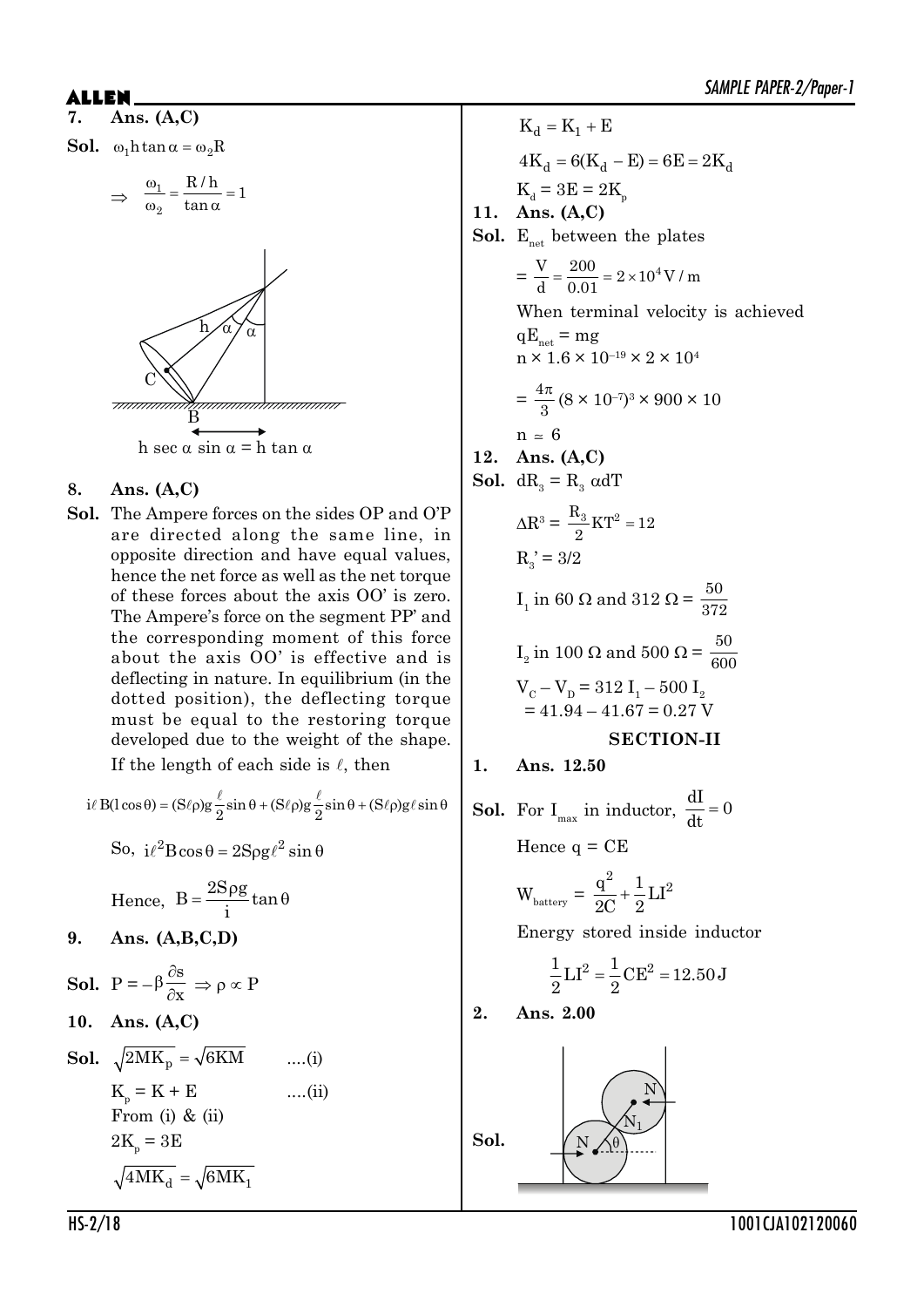**7. Ans. (A,C)**



$$
\Rightarrow \frac{\omega_1}{\omega_2} = \frac{R/h}{\tan \alpha} = 1
$$



#### **8. Ans. (A,C)**

**Sol.** The Ampere forces on the sides OP and O'P are directed along the same line, in opposite direction and have equal values, hence the net force as well as the net torque of these forces about the axis OO' is zero. The Ampere's force on the segment PP' and the corresponding moment of this force about the axis OO' is effective and is deflecting in nature. In equilibrium (in the dotted position), the deflecting torque must be equal to the restoring torque developed due to the weight of the shape. If the length of each side is  $\ell$ , then

$$
i\ell B(l\cos\theta) = (S\ell\rho)g\frac{\ell}{2}\sin\theta + (S\ell\rho)g\frac{\ell}{2}\sin\theta + (S\ell\rho)g\ell\sin\theta
$$

So,  $i\ell^2$ Bcos  $\theta = 2$ Sog $\ell^2$  sin  $\theta$ 

Hence, 
$$
B = \frac{2S\rho g}{i} \tan \theta
$$

**9. Ans. (A,B,C,D)**

**Sol.** 
$$
P = -\beta \frac{\partial s}{\partial x} \Rightarrow \rho \propto P
$$
  
\n**10. Ans. (A, C)**  
\n**Sol.**  $\sqrt{2MK_p} = \sqrt{6KM}$  ....(i)  
\n $K_p = K + E$  ....(ii)  
\nFrom (i) & (ii)  
\n $2K_p = 3E$   
\n $\sqrt{4MK_d} = \sqrt{6MK_1}$ 

 $K_d = K_1 + E$  $4K_d = 6(K_d - E) = 6E = 2K_d$  $K_d = 3E = 2K_p$ **11. Ans. (A,C)** Sol. E<sub>net</sub> between the plates  $=\frac{V}{d} = \frac{200}{0.01} = 2 \times 10^4 V/m$ When terminal velocity is achieved  $qE_{net}$  = mg  $n \times 1.6 \times 10^{-19} \times 2 \times 10^4$  $=\frac{4\pi}{\Omega}$  $\frac{1}{3}$  (8 × 10<sup>-7</sup>)<sup>3</sup> × 900 × 10  $n \approx 6$ **12. Ans. (A,C) Sol.**  $dR_3 = R_3 \alpha dT$  $\Delta$ R<sup>3</sup> =  $\frac{R_3}{2}$ KT<sup>2</sup> = 12  $R_3' = 3/2$ I<sub>1</sub> in 60 Ω and 312 Ω =  $\frac{50}{37}$ 372  $I_2$  in 100  $\Omega$  and 500  $\Omega = \frac{50}{600}$ 600  $V_{C} - V_{D} = 312 I_{1} - 500 I_{2}$  $= 41.94 - 41.67 = 0.27$  V **SECTION-II 1. Ans. 12.50 Sol.** For  $I_{\text{max}}$  in inductor,  $\frac{dI}{dt} = 0$ dt  $=$ Hence  $q = C E$  $W_{\text{battery}} =$  $\frac{q^2}{2} + \frac{1}{2}LI^2$  $2C-2$  $^{+}$ Energy stored inside inductor  $\frac{1}{6}$ LI<sup>2</sup> =  $\frac{1}{6}$ CE<sup>2</sup> = 12.50J  $2^{\frac{m}{2}}$  2  $=$ **2. Ans. 2.00** Sol.  $\sqrt{N}$ N  $\mathrm{N_{1}}$ 

HS-2/18 1001CJA102120060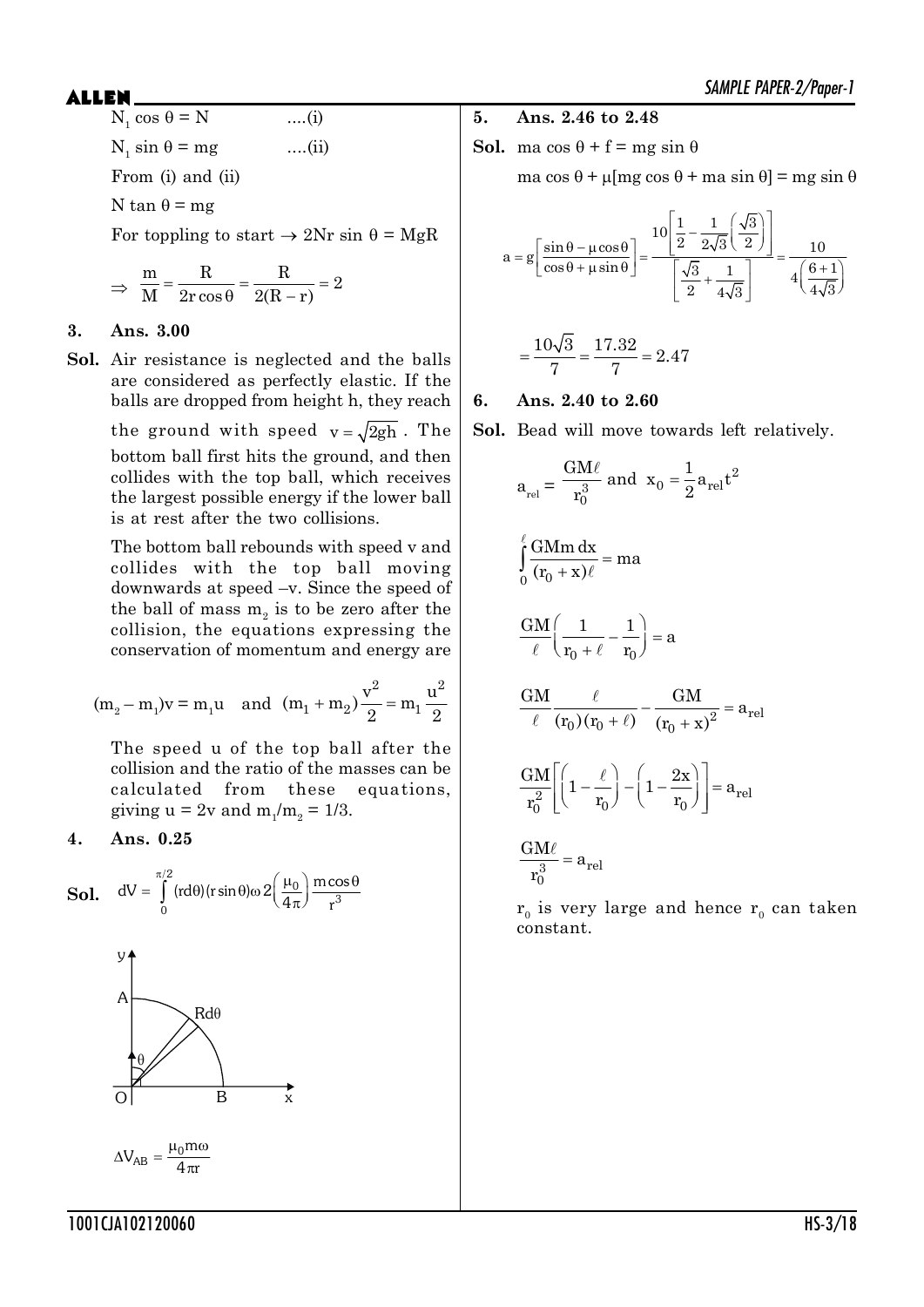$N_1 \cos \theta = N$  ....(i)  $N_1 \sin \theta = mg$  ....(ii) From (i) and (ii) N tan  $\theta$  = mg For toppling to start  $\rightarrow$  2Nr sin  $\theta$  = MgR

$$
\Rightarrow \frac{m}{M} = \frac{R}{2r\cos\theta} = \frac{R}{2(R-r)} = 2
$$

#### **3. Ans. 3.00**

**Sol.** Air resistance is neglected and the balls are considered as perfectly elastic. If the balls are dropped from height h, they reach the ground with speed  $v = \sqrt{2gh}$ . The bottom ball first hits the ground, and then collides with the top ball, which receives the largest possible energy if the lower ball is at rest after the two collisions.

> The bottom ball rebounds with speed v and collides with the top ball moving downwards at speed –v. Since the speed of the ball of mass  $m<sub>2</sub>$  is to be zero after the collision, the equations expressing the conservation of momentum and energy are

$$
(m_2 - m_1)v = m_1u
$$
 and  $(m_1 + m_2)\frac{v^2}{2} = m_1\frac{u^2}{2}$ 

The speed u of the top ball after the collision and the ratio of the masses can be calculated from these equations, giving  $u = 2v$  and  $m_1/m_2 = 1/3$ .

#### **4. Ans. 0.25**





- **5. Ans. 2.46 to 2.48**
- **Sol.** ma  $\cos \theta + f = mg \sin \theta$

ma cos  $\theta$  +  $\mu$ [mg cos  $\theta$  + ma sin  $\theta$ ] = mg sin  $\theta$ 

$$
a = g \left[ \frac{\sin \theta - \mu \cos \theta}{\cos \theta + \mu \sin \theta} \right] = \frac{10 \left[ \frac{1}{2} - \frac{1}{2\sqrt{3}} \left( \frac{\sqrt{3}}{2} \right) \right]}{\left[ \frac{\sqrt{3}}{2} + \frac{1}{4\sqrt{3}} \right]} = \frac{10}{4 \left( \frac{6+1}{4\sqrt{3}} \right)}
$$

$$
=\frac{10\sqrt{3}}{7}=\frac{17.32}{7}=2.47
$$

#### **6. Ans. 2.40 to 2.60**

 $\overline{a}$ 

**Sol.** Bead will move towards left relatively.

$$
a_{rel} = \frac{GM\ell}{r_0^3} \text{ and } x_0 = \frac{1}{2} a_{rel} t^2
$$
  

$$
\int_0^{\ell} \frac{GMm \, dx}{(r_0 + x)\ell} = ma
$$
  

$$
\frac{GM}{\ell} \left(\frac{1}{r_0 + \ell} - \frac{1}{r_0}\right) = a
$$
  

$$
\frac{GM}{\ell} \frac{\ell}{(r_0)(r_0 + \ell)} - \frac{GM}{(r_0 + x)^2} = a_{rel}
$$
  

$$
\frac{GM}{r_0^2} \left[ \left(1 - \frac{\ell}{r_0}\right) - \left(1 - \frac{2x}{r_0}\right) \right] = a_{rel}
$$
  

$$
\frac{GM\ell}{r_0^3} = a_{rel}
$$

 $\rm r_{_0}$  is very large and hence  $\rm r_{_0}$  can taken constant.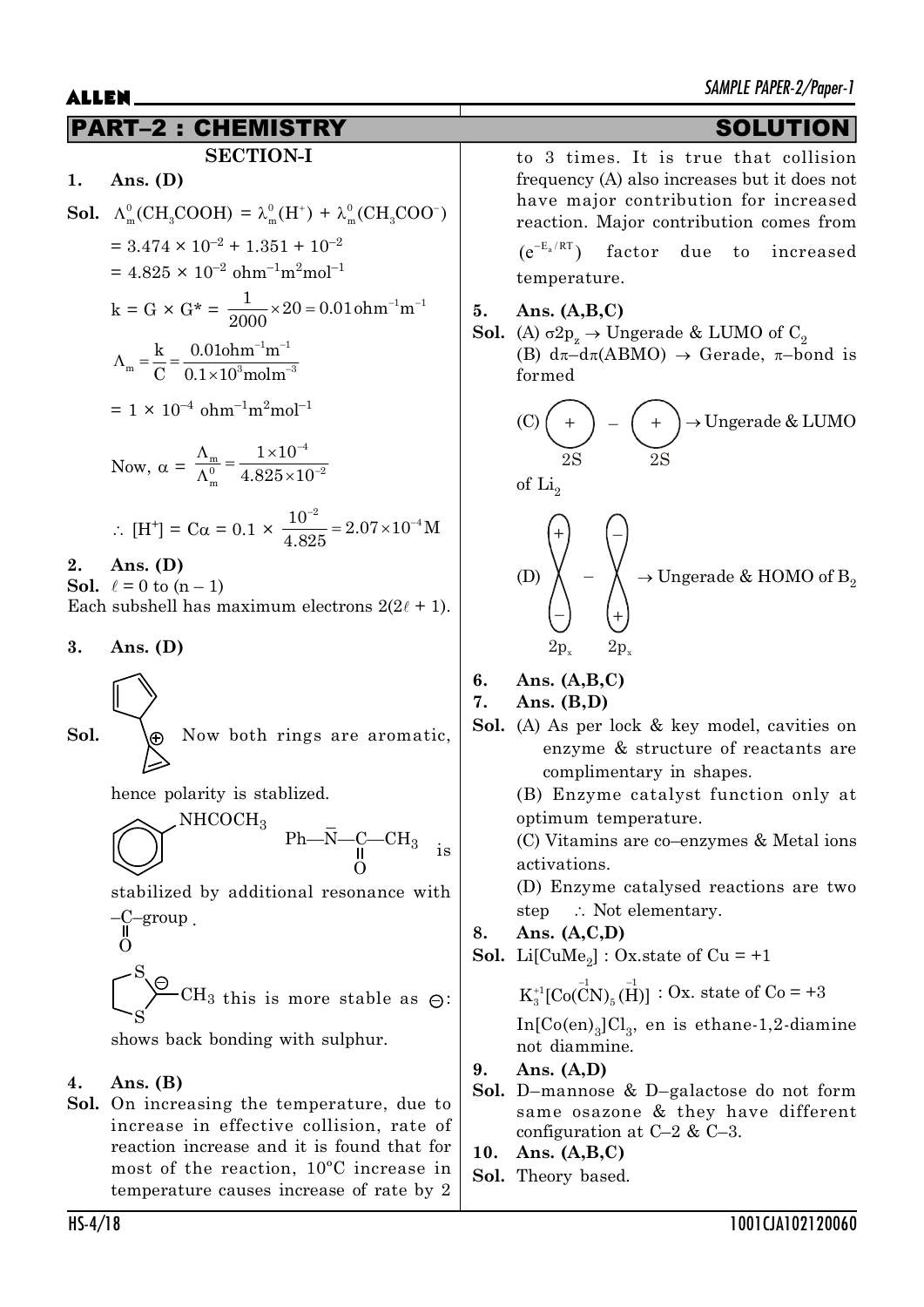## PART–2 : CHEMISTRY SOLUTION

### **SECTION-I**

$$
1. \quad \text{Ans. (D)}
$$

**Sol.** 
$$
\Lambda_m^0(\text{CH}_3\text{COOH}) = \lambda_m^0(\text{H}^+) + \lambda_m^0(\text{CH}_3\text{COO}^-)
$$
  
= 3.474 × 10<sup>-2</sup> + 1.351 + 10<sup>-2</sup>

$$
= 4.825 \times 10^{-2} \text{ ohm}^{-1} \text{m}^2 \text{mol}^{-1}
$$

$$
k = G \times G^* = \frac{1}{2000} \times 20 = 0.01 \text{ ohm}^{-1} \text{m}^{-1}
$$

$$
\Lambda_{\rm m} = \frac{\rm k}{\rm C} = \frac{0.01 \rm oh \, \rm m^{-1} \, \rm m^{-1}}{0.1 \times 10^3 \rm mol \, \rm m^{-3}}
$$

$$
= 1 \times 10^{-4} \text{ ohm}^{-1} \text{m}^2 \text{mol}^{-1}
$$

Now, 
$$
\alpha = \frac{\Lambda_m}{\Lambda_m^0} = \frac{1 \times 10^{-4}}{4.825 \times 10^{-2}}
$$

$$
\therefore \text{ [H}^+] = \text{C}\alpha = 0.1 \times \frac{10^{-2}}{4.825} = 2.07 \times 10^{-4} \text{M}
$$

#### **2. Ans. (D)**

**Sol.**  $\ell = 0$  to  $(n - 1)$ Each subshell has maximum electrons  $2(2\ell + 1)$ .

**3. Ans. (D)**

**Sol.** Now both rings are aromatic, 
$$
\triangleright
$$

hence polarity is stablized.

$$
\bigotimes\nolimits^{NHCOCH_3} \begin{array}{c} \text{Ph} - \bar{\text{N}} - \text{C} - \text{CH}_3 \\ \text{O} \end{array} \quad \text{is}
$$

stabilized by additional resonance with –C–group .

$$
\begin{array}{c}\n0 \\
\begin{array}{c}\n\text{S} \\
\text{S}\n\end{array}\n\end{array}
$$
 CH<sub>3</sub> this is more stable as  $\Theta$ :

shows back bonding with sulphur.

### **4. Ans. (B)**

**Sol.** On increasing the temperature, due to increase in effective collision, rate of reaction increase and it is found that for most of the reaction, 10ºC increase in temperature causes increase of rate by 2 to 3 times. It is true that collision frequency (A) also increases but it does not have major contribution for increased reaction. Major contribution comes from

 $(e^{-E_a/RT})$  factor due to increased temperature.

#### **5. Ans. (A,B,C)**

**Sol.** (A)  $\sigma 2p_z \rightarrow \text{Ungerade} \& \text{LUMO of } C_2$ (B)  $d\pi - d\pi(ABMO) \rightarrow$  Gerade,  $\pi$ -bond is formed

(C) 
$$
\left(\frac{+}{2S}\right)
$$
 -  $\left(\frac{+}{2S}\right)$  \rightarrow Ungerade & LUMO  
of Li<sub>2</sub>  
(D)  $\left(\frac{+}{2}\right)$  -  $\left(\frac{-}{2}\right)$   
2D<sub>x</sub> 2D<sub>x</sub>

### **6. Ans. (A,B,C)**

#### **7. Ans. (B,D)**

**Sol.** (A) As per lock & key model, cavities on enzyme & structure of reactants are complimentary in shapes.

> (B) Enzyme catalyst function only at optimum temperature.

> (C) Vitamins are co–enzymes & Metal ions activations.

> (D) Enzyme catalysed reactions are two step  $\therefore$  Not elementary.

### **8. Ans. (A,C,D)**

**Sol.** Li[CuMe<sub>2</sub>]: Ox.state of Cu =  $+1$ 

 $K_3^{+1}$ [Co(CN)<sub>5</sub>(H)] : Ox. state of Co = +3  $In [Co(en)_3] \rm{Cl}_3$ , en is ethane-1,2-diamine not diammine.

### **9. Ans. (A,D)**

- **Sol.** D–mannose & D–galactose do not form same osazone & they have different configuration at C–2 & C–3.
- **10. Ans. (A,B,C)**
- **Sol.** Theory based.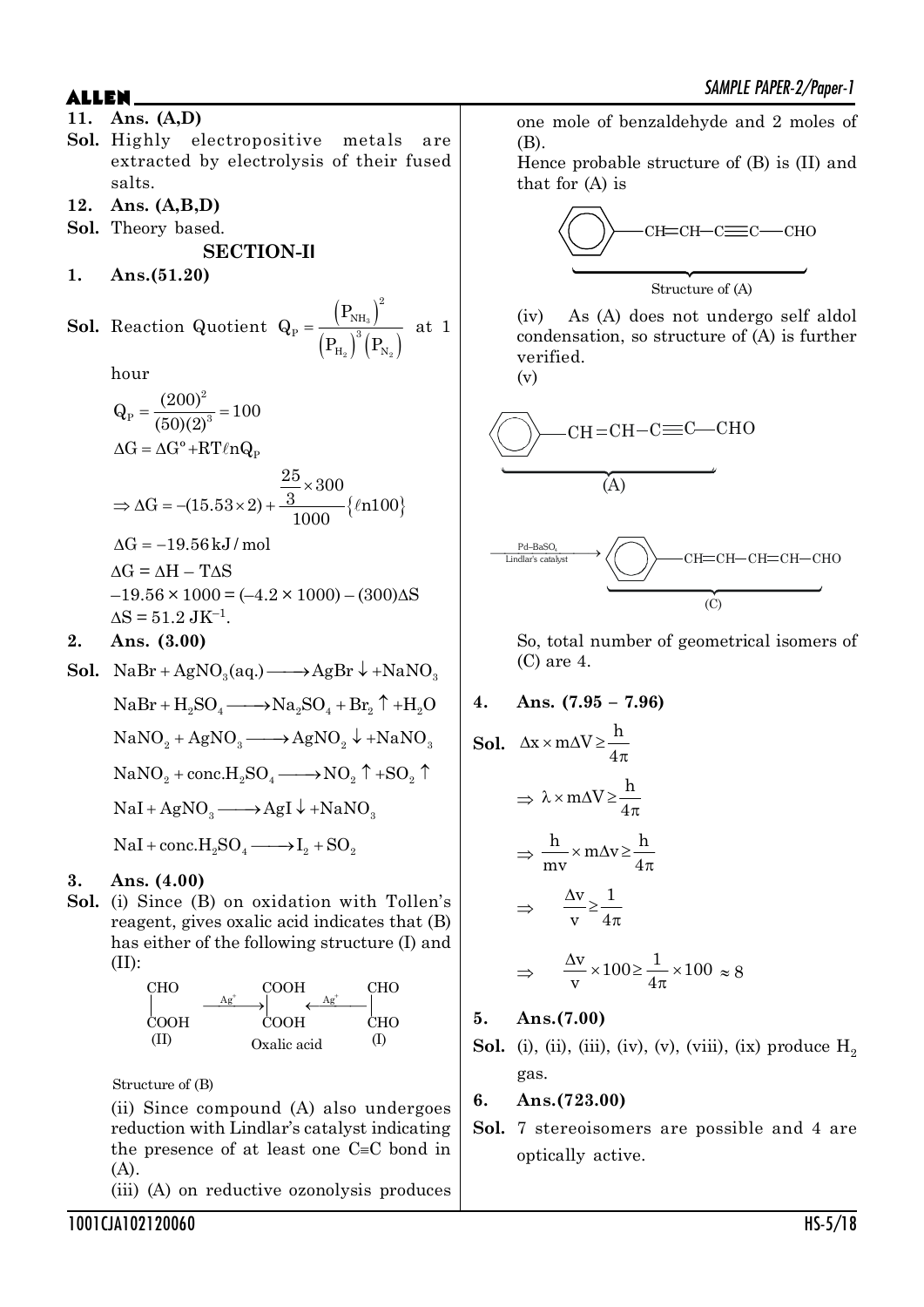**11. Ans. (A,D) Sol.** Highly electropositive metals are extracted by electrolysis of their fused salts.

**12. Ans. (A,B,D)**

**Sol.** Theory based.

**SECTION-II**

**1. Ans.(51.20)**

**Sol.** Reaction Quotient 
$$
Q_P = \frac{\left(P_{NH_3}\right)^2}{\left(P_{H_2}\right)^3 \left(P_{N_2}\right)}
$$
 at 1

hour

$$
Q_{P} = \frac{(200)^{2}}{(50)(2)^{3}} = 100
$$
  
\n
$$
\Delta G = \Delta G^{\circ} + RT\ell n Q_{P}
$$
  
\n
$$
\Rightarrow \Delta G = -(15.53 \times 2) + \frac{25}{1000} \times 300
$$
  
\n
$$
\Delta G = -19.56 \text{ kJ/mol}
$$
  
\n
$$
\Delta G = \Delta H - T\Delta S
$$
  
\n
$$
-19.56 \times 1000 = (-4.2 \times 1000) - (300)\Delta S
$$
  
\n
$$
\Delta S = 51.2 \text{ JK}^{-1}.
$$

**2. Ans. (3.00)**

**Sol.** NaBr + AgNO<sub>2</sub>(aq.)  $\longrightarrow$  AgBr  $\downarrow$  + NaNO<sub>3</sub>

 $NaBr + H<sub>0</sub>SO<sub>4</sub> \longrightarrow Na<sub>0</sub>SO<sub>4</sub> + Br<sub>0</sub> \uparrow + H<sub>0</sub>O$  $NaNO_2 + AgNO_2 \longrightarrow AgNO_2 \downarrow + NaNO_2$  $NaNO_2 + conc.H<sub>2</sub>SO<sub>4</sub> \longrightarrow NO<sub>2</sub> \uparrow +SO<sub>2</sub> \uparrow$  $NaI + AgNO<sub>3</sub> \longrightarrow AgI \downarrow + NaNO<sub>3</sub>$  $NaI + conc.H<sub>2</sub>SO<sub>4</sub> \longrightarrow I<sub>2</sub> + SO<sub>2</sub>$ 

### **3. Ans. (4.00)**

**Sol.** (i) Since (B) on oxidation with Tollen's reagent, gives oxalic acid indicates that (B) has either of the following structure (I) and (II):



Structure of (B)

(ii) Since compound (A) also undergoes reduction with Lindlar's catalyst indicating the presence of at least one  $C=C$  bond in (A).

(iii) (A) on reductive ozonolysis produces

one mole of benzaldehyde and 2 moles of (B).

Hence probable structure of (B) is (II) and that for (A) is

$$
\overbrace{\text{CHLCH}-\text{C\text{---}C}}^{\text{CH\text{---}}\text{CH}\text{---}\text{CH}-\text{C\text{---}C}\text{HO}}
$$
\n
$$
\text{Structure of (A)}
$$

(iv) As (A) does not undergo self aldol condensation, so structure of (A) is further verified.

(v)



So, total number of geometrical isomers of (C) are 4.

**4. Ans. (7.95 – 7.96)**

**Sol.** 
$$
\Delta x \times m\Delta V \ge \frac{h}{4\pi}
$$
  
\n $\Rightarrow \lambda \times m\Delta V \ge \frac{h}{4\pi}$   
\n $\Rightarrow \frac{h}{mv} \times m\Delta v \ge \frac{h}{4\pi}$   
\n $\Rightarrow \frac{\Delta v}{v} \ge \frac{1}{4\pi}$   
\n $\Rightarrow \frac{\Delta v}{v} \times 100 \ge \frac{1}{4\pi} \times 100 \approx 8$ 

**5. Ans.(7.00)**

**Sol.** (i), (ii), (iii), (iv), (v), (viii), (ix) produce  $H_2$ gas.

### **6. Ans.(723.00)**

**Sol.** 7 stereoisomers are possible and 4 are optically active.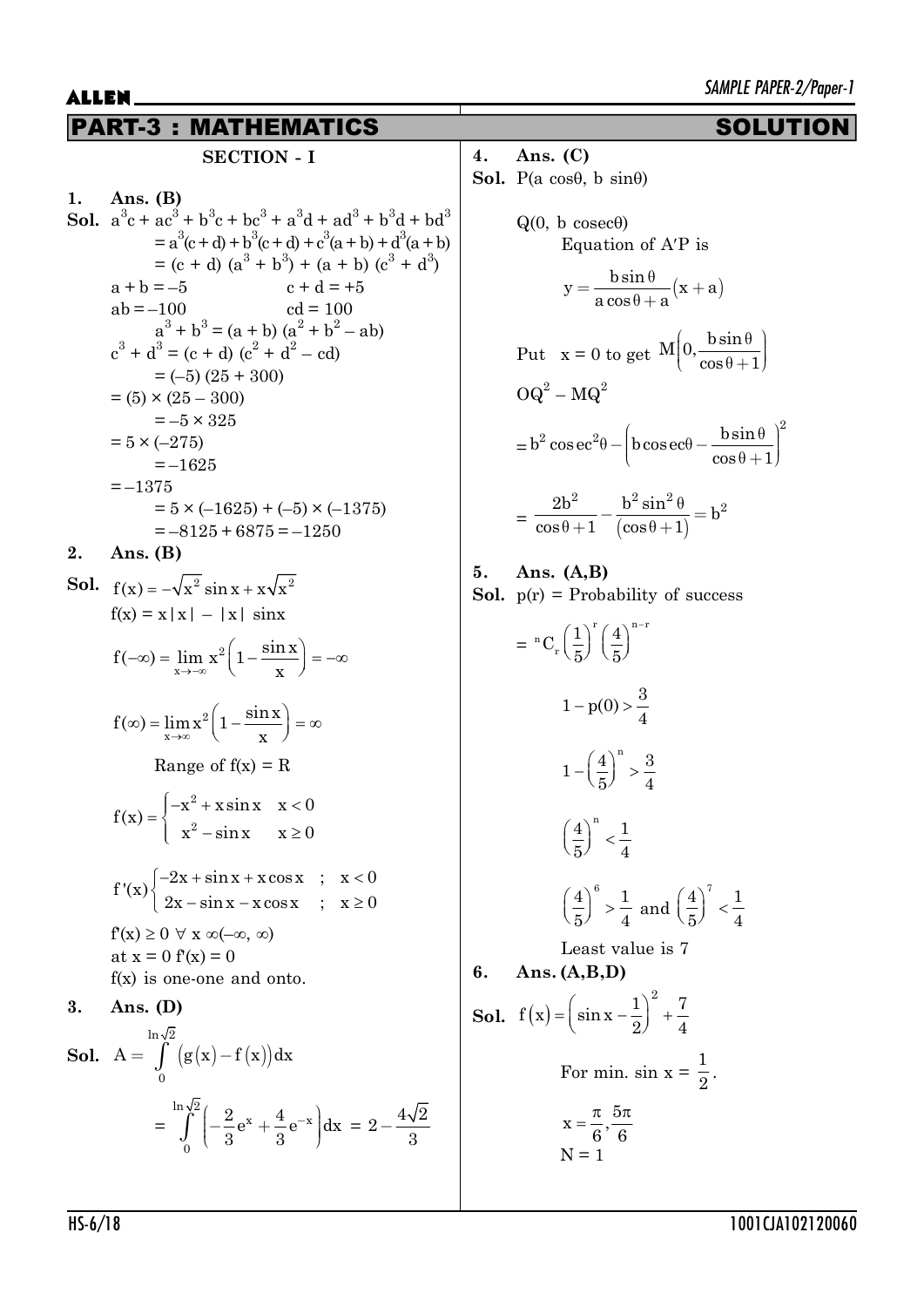# PART-3 : MATHEMATICS SOLUTION

### **SECTION - I**

1. 
$$
A_n
$$
s. (B)

**Sol.** 
$$
a^3c + ac^3 + b^3c + bc^3 + a^3d + ad^3 + b^3d + bd^3
$$
  
\t\t\t $= a^3(c+d) + b^3(c+d) + c^3(a+b) + d^3(a+b)$   
\t\t\t $= (c + d) (a^3 + b^3) + (a + b) (c^3 + d^3)$   
\t\t\t $a + b = -5$   $c + d = +5$   
\t\t\t $ab = -100$   $cd = 100$   
\t\t\t $a^3 + b^3 = (a + b) (a^2 + b^2 - ab)$   
\t\t\t $c^3 + d^3 = (c + d) (c^2 + d^2 - cd)$   
\t\t\t $= (-5) (25 + 300)$   
\t\t\t $= (5) \times (25 - 300)$   
\t\t\t $= -5 \times 325$   
\t\t\t $= 5 \times (-275)$   
\t\t\t $= -1625$   
\t\t\t $= -1375$   
\t\t\t $= 5 \times (-1625) + (-5) \times (-1375)$   
\t\t\t $= -8125 + 6875 = -1250$ 

**2. Ans. (B)**

**Sol.** 
$$
f(x) = -\sqrt{x^2} \sin x + x\sqrt{x^2}
$$
  
\n $f(x) = x |x| - |x| \sin x$   
\n $f(-\infty) = \lim_{x \to -\infty} x^2 \left(1 - \frac{\sin x}{x}\right) = -\infty$   
\n $f(\infty) = \lim_{x \to \infty} x^2 \left(1 - \frac{\sin x}{x}\right) = \infty$   
\nRange of  $f(x) = R$   
\n $f(x) = \begin{cases} -x^2 + x \sin x & x < 0 \\ x^2 - \sin x & x \ge 0 \end{cases}$   
\n $f'(x) \begin{cases} -2x + \sin x + x \cos x & ; x < 0 \\ 2x - \sin x - x \cos x & ; x \ge 0 \end{cases}$   
\n $f'(x) \ge 0 \forall x \infty(-\infty, \infty)$   
\nat  $x = 0$   $f'(x) = 0$   
\n $f(x)$  is one-one and onto.  
\n**3. Ans. (D)**  
\n**Sol.**  $A = \int_{0}^{\ln \sqrt{2}} (g(x) - f(x)) dx$   
\n $= \int_{0}^{\ln \sqrt{2}} (-\frac{2}{3}e^x + \frac{4}{3}e^{-x}) dx = 2 - \frac{4\sqrt{2}}{3}$ 

**4. Ans. (C) Sol.** P(a cos $\theta$ , b sin $\theta$ )

Q(0, b cosec
$$
\theta
$$
)  
\nEquation of A'P is  
\n
$$
y = \frac{b \sin \theta}{a \cos \theta + a} (x + a)
$$
\nPut  $x = 0$  to get  $M\left(0, \frac{b \sin \theta}{\cos \theta + 1}\right)$   
\n $OQ^2 - MQ^2$   
\n $= b^2 \csc^2 \theta - \left(b \csc \theta - \frac{b \sin \theta}{\cos \theta + 1}\right)^2$   
\n $= \frac{2b^2}{\cos \theta + 1} - \frac{b^2 \sin^2 \theta}{(\cos \theta + 1)} = b^2$ 

**5. Ans. (A,B) Sol.**  $p(r) =$  Probability of success

$$
= {}^{n}C_{r} \left(\frac{1}{5}\right)^{r} \left(\frac{4}{5}\right)^{n-r}
$$

$$
1 - p(0) > \frac{3}{4}
$$

$$
1 - \left(\frac{4}{5}\right)^{n} > \frac{3}{4}
$$

$$
\left(\frac{4}{5}\right)^{n} < \frac{1}{4}
$$

$$
\left(\frac{4}{5}\right)^{6} > \frac{1}{4} \text{ and } \left(\frac{4}{5}\right)^{7} < \frac{1}{4}
$$

$$
\text{Least value is 7}
$$
**6.** Ans. (A, B, D)

**Sol.**  $f(x) = \left(\sin x - \frac{1}{2}\right)^2 +$  $f(x) = \left(\sin x - \frac{1}{2}\right)^2 + \frac{7}{4}$  $2^{\prime}$  4 For min.  $sin x =$ 1  $\frac{1}{2}$ .  $x = \frac{\pi}{2}, \frac{5\pi}{2}$  $6^{\degree}6$  $N = 1$ 

0

3 3

3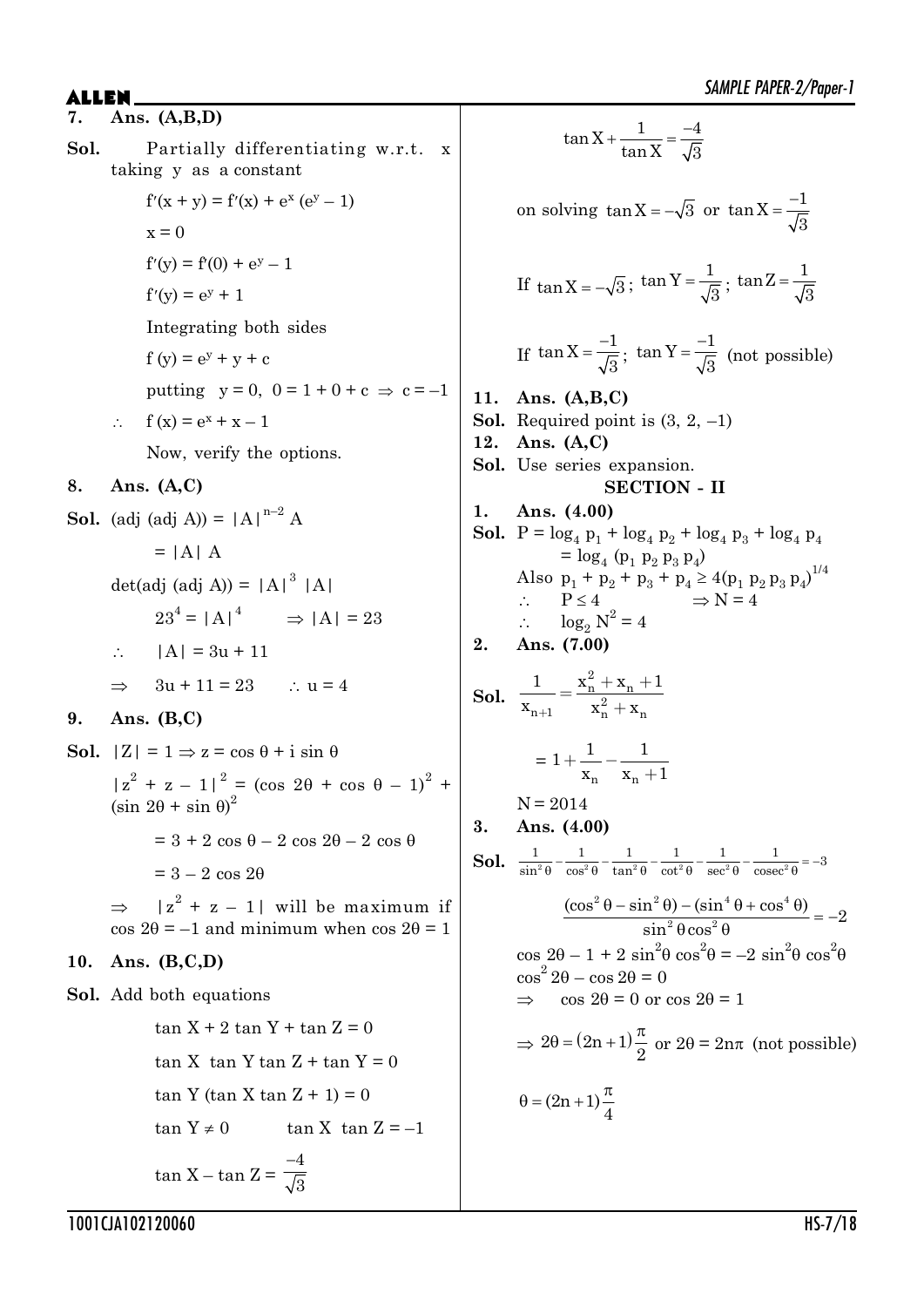- $ALLEN$   $\qquad \qquad$   $\qquad \qquad$   $\qquad \qquad$   $\qquad \qquad$   $\qquad \qquad$   $\qquad \qquad$   $\qquad \qquad$   $\qquad \qquad$   $\qquad \qquad$   $\qquad \qquad$   $\qquad \qquad$   $\qquad \qquad$   $\qquad \qquad$   $\qquad \qquad$   $\qquad \qquad$   $\qquad \qquad$   $\qquad \qquad$   $\qquad \qquad$   $\qquad \qquad$   $\qquad \qquad$   $\qquad \qquad$   $\qquad \qquad$   $\qquad \qquad$   $\qquad \qquad$  **7. Ans. (A,B,D) Sol.** Partially differentiating w.r.t. x taking y as a constant  $f'(x + y) = f'(x) + e^x (e^y - 1)$  $x = 0$  $f'(y) = f'(0) + e^y - 1$  $f'(y) = e^y + 1$ Integrating both sides  $f(y) = e^{y} + y + c$ putting  $y = 0$ ,  $0 = 1 + 0 + c \implies c = -1$  $\therefore$  f (x) =  $e^x + x - 1$ Now, verify the options. **8. Ans. (A,C) Sol.** (adj (adj A)) =  $|A|^{n-2}$  A  $= |A| A$ det(adj (adj A)) =  $|A|^3$  |A|  $23^4 = |A|^4$   $\Rightarrow |A| = 23$ 
	- $\therefore$  |A| = 3u + 11
	- $\Rightarrow$  3u + 11 = 23  $\therefore$  u = 4
- **9. Ans. (B,C)**

**Sol.**  $|Z| = 1 \Rightarrow z = \cos \theta + i \sin \theta$  $|z^{2} + z - 1|^{2} = (\cos 2\theta + \cos \theta - 1)^{2} +$  $(\sin 2\theta + \sin \theta)^2$  $= 3 + 2 \cos \theta - 2 \cos 2\theta - 2 \cos \theta$  $= 3 - 2 \cos 2\theta$  $\Rightarrow$   $|z^2 + z - 1|$  will be maximum if  $\cos 2\theta = -1$  and minimum when  $\cos 2\theta = 1$ 

#### **10. Ans. (B,C,D)**

**Sol.** Add both equations

$$
\tan X + 2 \tan Y + \tan Z = 0
$$
  
\n
$$
\tan X \tan Y \tan Z + \tan Y = 0
$$
  
\n
$$
\tan Y (\tan X \tan Z + 1) = 0
$$
  
\n
$$
\tan Y \neq 0 \qquad \tan X \tan Z = -1
$$
  
\n
$$
\tan X - \tan Z = \frac{-4}{\sqrt{3}}
$$

$$
\tan X + \frac{1}{\tan X} = \frac{-4}{\sqrt{3}}
$$
  
on solving  $\tan X = -\sqrt{3}$  or  $\tan X = \frac{-1}{\sqrt{3}}$   
If  $\tan X = -\sqrt{3}$ ;  $\tan Y = \frac{1}{\sqrt{3}}$ ;  $\tan Z = \frac{1}{\sqrt{3}}$   
If  $\tan X = \frac{-1}{\sqrt{3}}$ ;  $\tan Y = \frac{-1}{\sqrt{3}}$  (not possible)  
11. Ans. (A, B, C)  
Sol. Required point is (3, 2, -1)  
12. Ans. (A, C)  
Sol. Use series expansion.  
SECTION - II  
1. Ans. (4.00)  
Sol. P = log<sub>4</sub> p<sub>1</sub> + log<sub>4</sub> p<sub>2</sub> + log<sub>4</sub> p<sub>3</sub> + log<sub>4</sub> p<sub>4</sub>  
= log<sub>4</sub> (p<sub>1</sub> p<sub>2</sub> p<sub>3</sub> p<sub>4</sub>)  
Also p<sub>1</sub> + p<sub>2</sub> + p<sub>3</sub> + p<sub>4</sub> ≥ 4(p<sub>1</sub> p<sub>2</sub> p<sub>3</sub> p<sub>4</sub>)<sup>1/4</sup>  
∴ P ≤ 4  
∴ log<sub>2</sub> N<sup>2</sup> = 4  
2. Ans. (7.00)  
Sol.  $\frac{1}{x_{n+1}} = \frac{x_n^2 + x_n + 1}{x_n^2 + x_n}$   
= 1 +  $\frac{1}{x_n} - \frac{1}{x_n + 1}$   
N = 2014  
3. Ans. (4.00)  
Sol.  $\frac{1}{\sin^2 \theta - \cos^2 \theta} - \frac{1}{\tan^2 \theta} - \frac{1}{\cot^2 \theta} - \frac{1}{\sec^2 \theta} - \frac{1}{\csc^2 \theta} - \frac{1}{\csc^2 \theta} - \frac{1}{\csc^2 \theta} - \frac{1}{\csc^2 \theta} - \frac{1}{\csc^2 \theta} - \frac{1}{\csc^2 \theta} - \frac{1}{\sin^2 \theta \cos^2 \theta}$   
 $\cos 2\theta - 1 + 2 \sin^2 \theta \cos^2 \theta = -2 \sin^2 \$